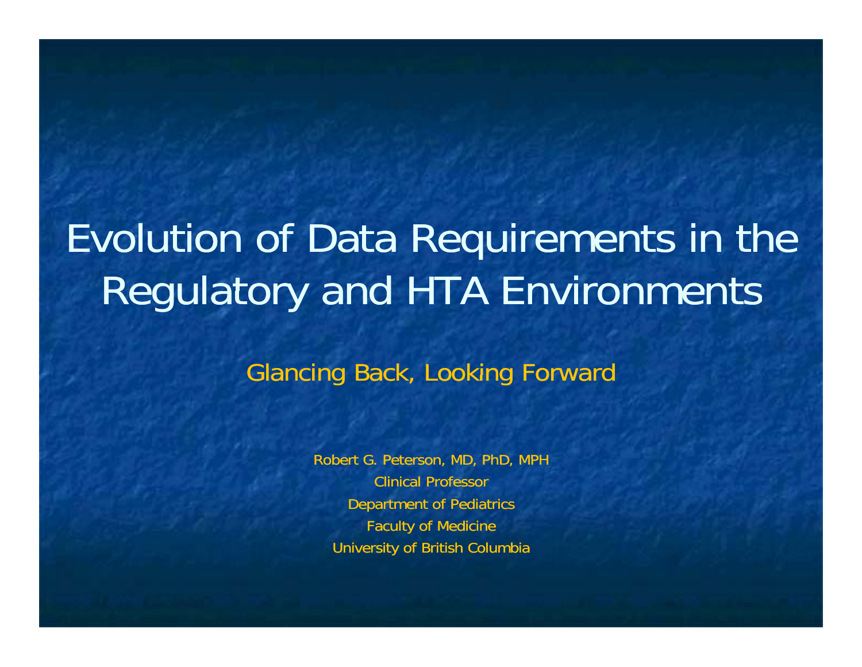# Evolution of Data Requirements in the Regulatory and HTA Environments

### Glancing Back, Looking Forward

Robert G. Peterson, MD, PhD, MPH Clinical ProfessorDepartment of Pediatrics Faculty of Medicine University of British Columbia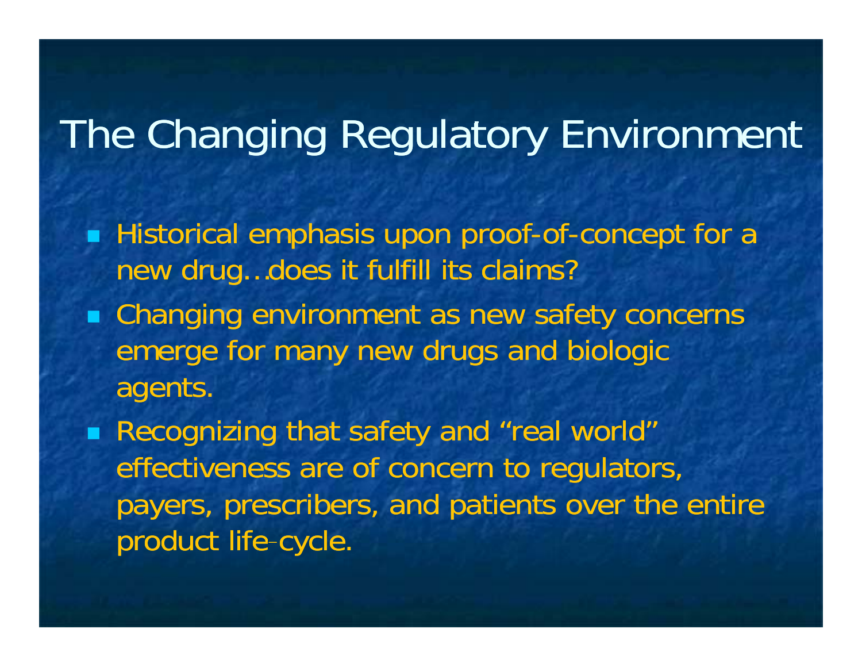### The Changing Regulatory Environment

- **Historical emphasis upon proof-of-concept for a** new drug…does it fulfill its claims?
- Changing environment as new safety concerns emerge for many new drugs and biologic a gents.
- Recognizing that safety and "real world" effectiveness are of concern to regulators, payers, prescribers, and patients over the entire product life-cycle.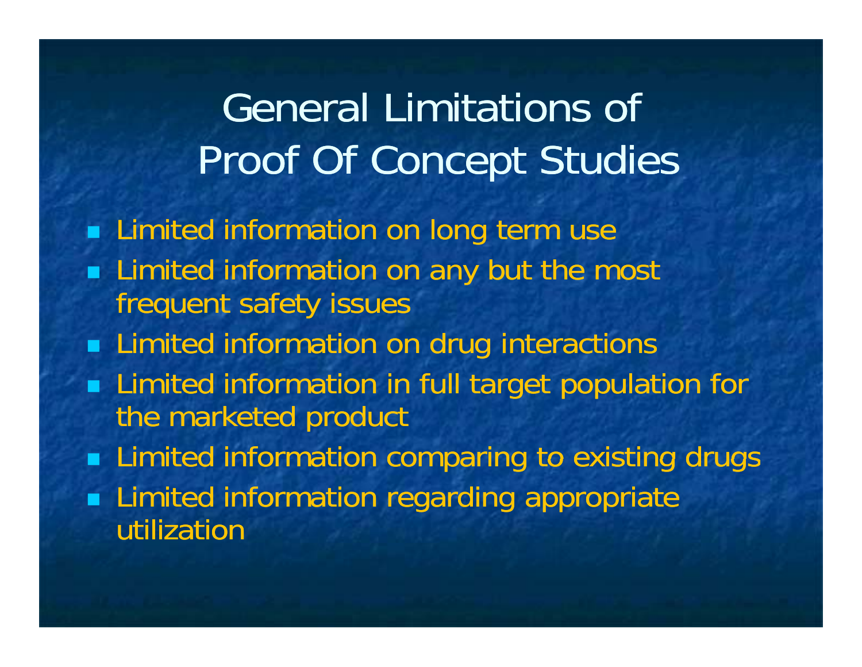## General Limitations of Proof Of Concept Studies

- **Limited information on long term use**
- **Limited information on any but the most** frequent safety issues
- **Example 1** Limited information on drug interactions
- **Limited information in full target population for** the marketed product
- **Limited information comparing to existing drugs**
- **Limited information regarding appropriate** utilization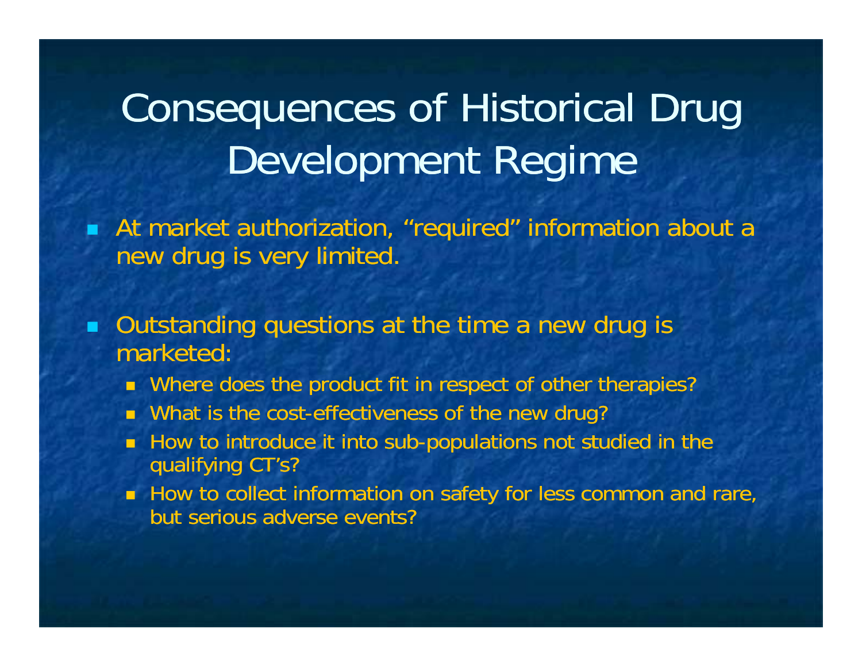## Consequences of Historical Drug Development Regime

 At market authorization, "required" information about a new drug is very limited.

 $\blacksquare$  Outstanding questions at the time a new drug is marketed:

- Where does the product fit in respect of other therapies?
- **Nhat is the cost-effectiveness of the new drug?**
- $\blacksquare$  How to introduce it into sub-populations not studied in the qualifying CT's?
- **How to collect information on safety for less common and rare,** but serious adverse events?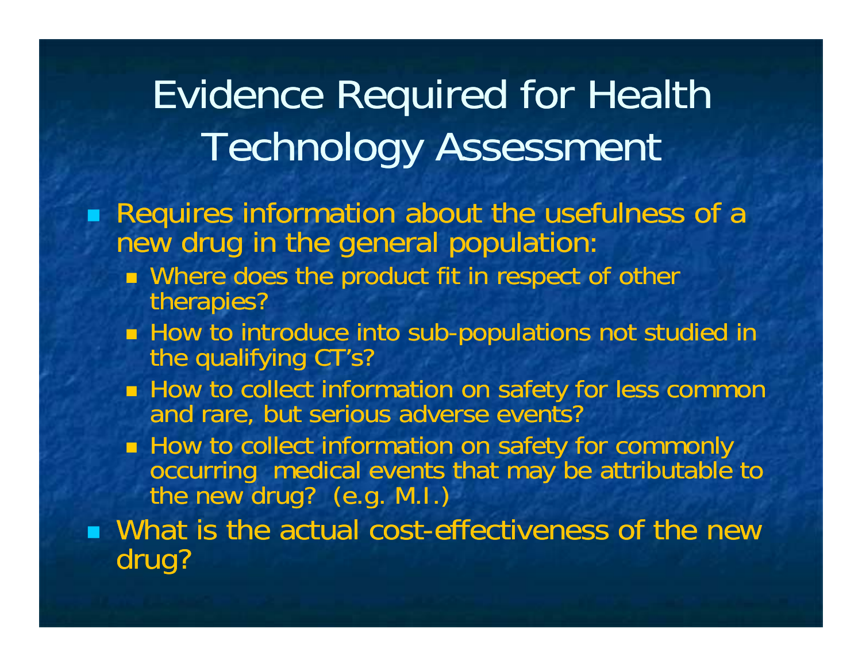## Evidence Required for Health Technology Assessment

### Requires information about the usefulness of <sup>a</sup> a new drug in the general population:

- **Nhere does the product fit in respect of other** therapies?
- $\blacksquare$  How to introduce into sub-populations not studied in the qualifying CT's?
- **EXTERGH How to collect information on safety for less common** and rare, but serious adverse events?
- How to collect information on safety for commonly occurring medical events that may be attributable to<br>the new drug? (e.g. M.I.)

 $\blacksquare$  What is the actual cost-effectiveness of the new dru g ?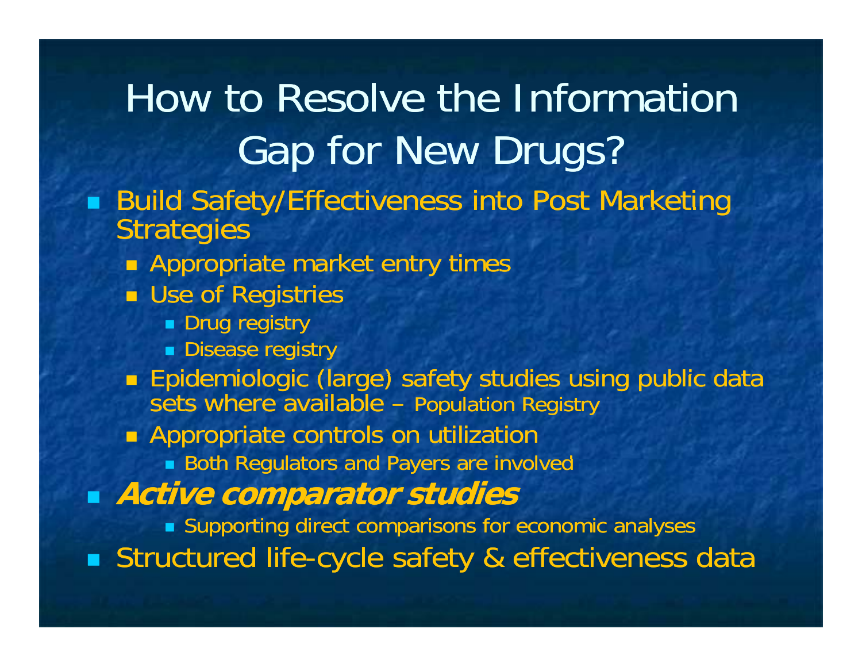How to Resolve the Information Gap for New Drugs? ■ Build Safety/Effectiveness into Post Marketing **Strategies Appropriate market entry times Example of Registries Drug registry Disease registry Epidemiologic (large) safety studies using public data** sets where available – Population Registry **Appropriate controls on utilization**  Both Regulators and Payers are involved **Active comparator studies** Supporting direct comparisons for economic analyses **Structured life-cycle safety & effectiveness data**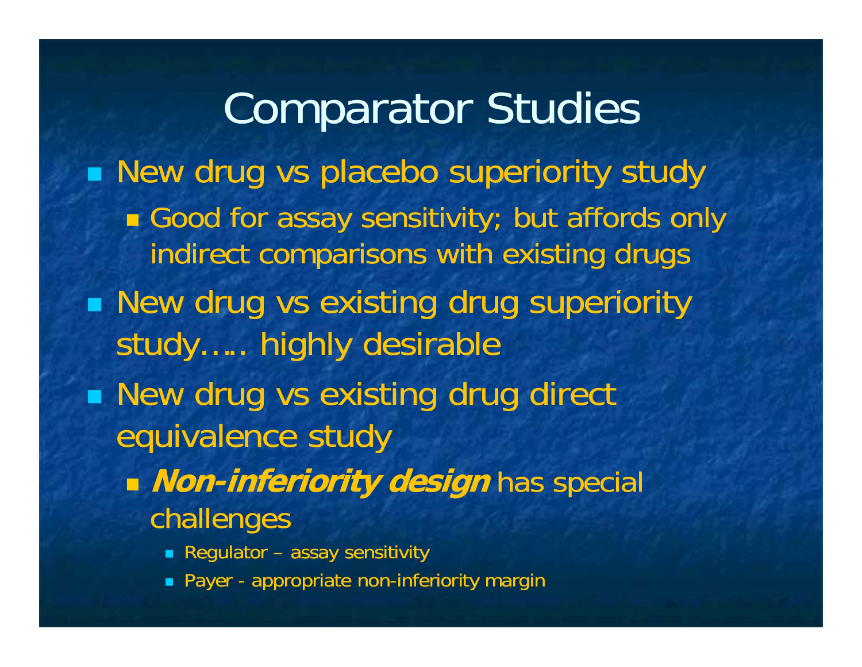Comparator Studies **New drug vs placebo superiority study** ■ Good for assay sensitivity; but affords only indirect comparisons with existing drugs  $\blacksquare$  New drug vs existing drug superiority study….. highly desirable  $\blacksquare$  New drug vs existing drug direct equivalence study **Non-inferiority design inferiority** has special challenges Regulator – assay sensitivity

**•** Payer - appropriate non-inferiority margin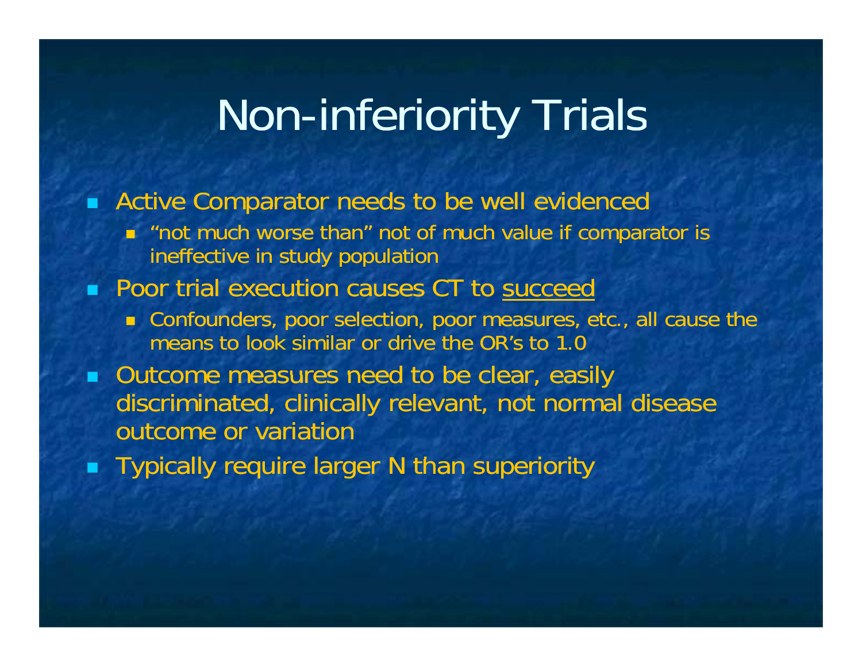### **Non-inferiority Trials**

 $\blacksquare$ Active Comparator needs to be well evidenced

n "not much worse than" not of much value if comparator is ineffective in study population

#### ■ Poor trial execution causes CT to succeed

- Confounders, poor selection, poor measures, etc., all cause the means to look similar or drive the OR's to 1.0
- **Outcome measures need to be clear, easily** discriminated, clinically relevant, not normal disease outcome or variation
- $\blacksquare$  Typically require larger N than superiority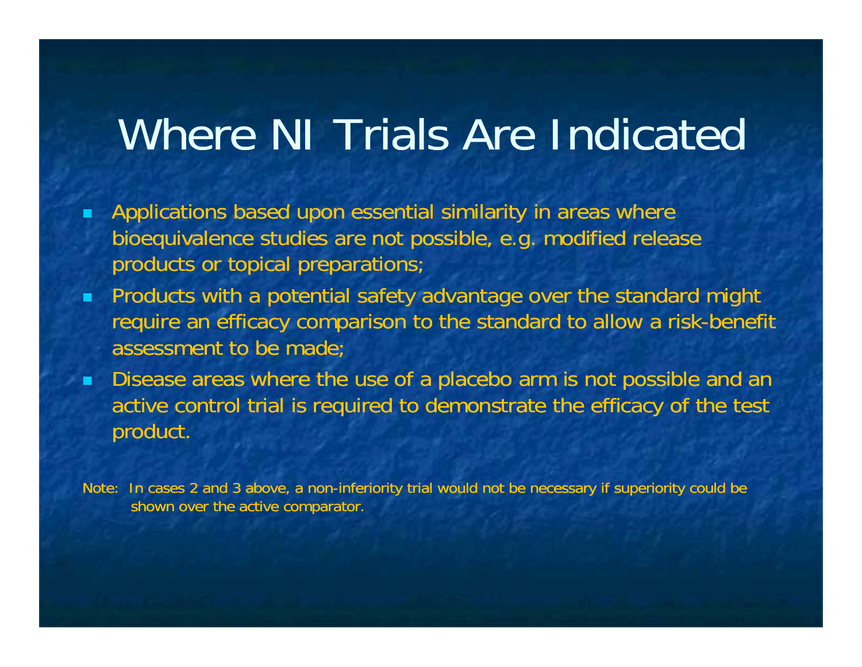## Where NI Trials Are Indicated

- **Applications based upon essential similarity in areas where** bioequivalence studies are not possible, e.g. modified release products or topical preparations;
- **•** Products with a potential safety advantage over the standard might require an efficacy comparison to the standard to allow a risk-benefit assessment to be made;
- $\blacksquare$  Disease areas where the use of a placebo arm is not possible and an active control trial is required to demonstrate the efficacy of the test product.

Note: In cases 2 and 3 above, a non-inferiority trial would not be necessary if superiority could be shown over the active comparator.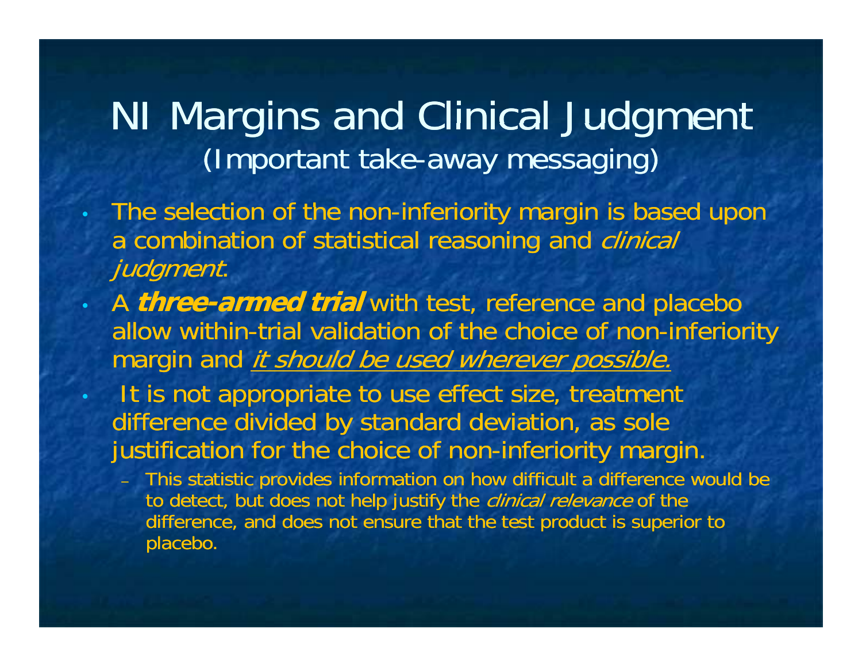### NI Margins and Clinical Judgment (Important take-away messaging)

- $\bullet$ • The selection of the non-inferiority margin is based upon a combination of statistical reasoning and *clinical* judgment.
- A *three-armed trial* with test, reference and placebo allow within-trial validation of the choice of non-inferiority margin and *it should be used wherever possible.* 
	- It is not appropriate to use effect size, treatment difference divided by standard deviation, as sole justification for the choice of non-inferiority margin.

 $\bullet$ 

– This statistic provides information on how difficult a difference would be to detect, but does not help justify the *clinical relevance* of the difference, and does not ensure that the test product is superior to placebo.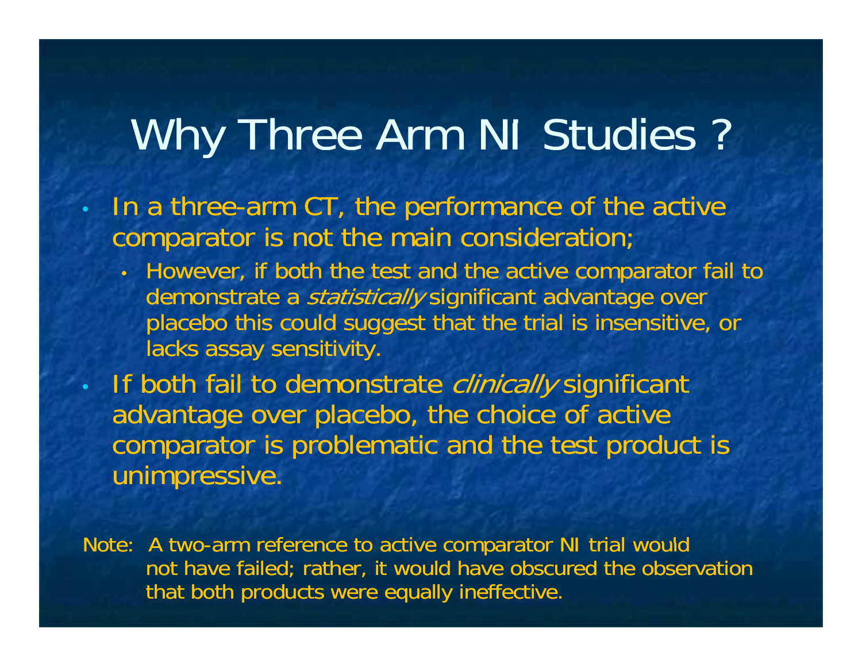## Why Three Arm NI Studies ?

• In a three-arm CT, the performance of the active comparator is not the main consideration;

 $\bullet$ 

 $\bullet$ 

• However, if both the test and the active comparator fail to demonstrate a *statistically* significant advantage over placebo this could suggest that the trial is insensitive, or lacks assay sensitivity.

• If both fail to demonstrate clinically significant advantage over placebo, the choice of active comparator is problematic and the test product is unimpressive.

Note: A two-arm reference to active comparator NI trial would not have failed; rather, it would have obscured the observation that both products were equally ineffective.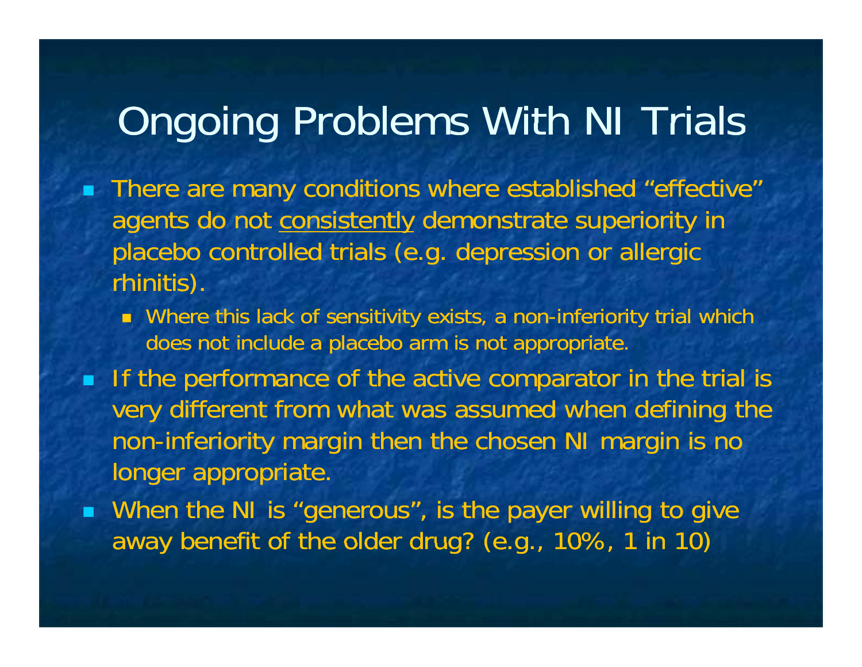### Ongoing Problems With NI Trials

- **There are many conditions where established "effective"** agents do not consistently demonstrate superiority in placebo controlled trials (e.g. depression or allergic rhinitis).
	- $\blacksquare$  Where this lack of sensitivity exists, a non-inferiority trial which  $\blacksquare$ does not include a placebo arm is not appropriate.
- **If the performance of the active comparator in the trial is** very different from what was assumed when defining the non-inferiority margin then the chosen NI margin is no longer appropriate.
- When the NI is "generous", is the payer willing to give away benefit of the older drug? (e.g., 10%, 1 in 10)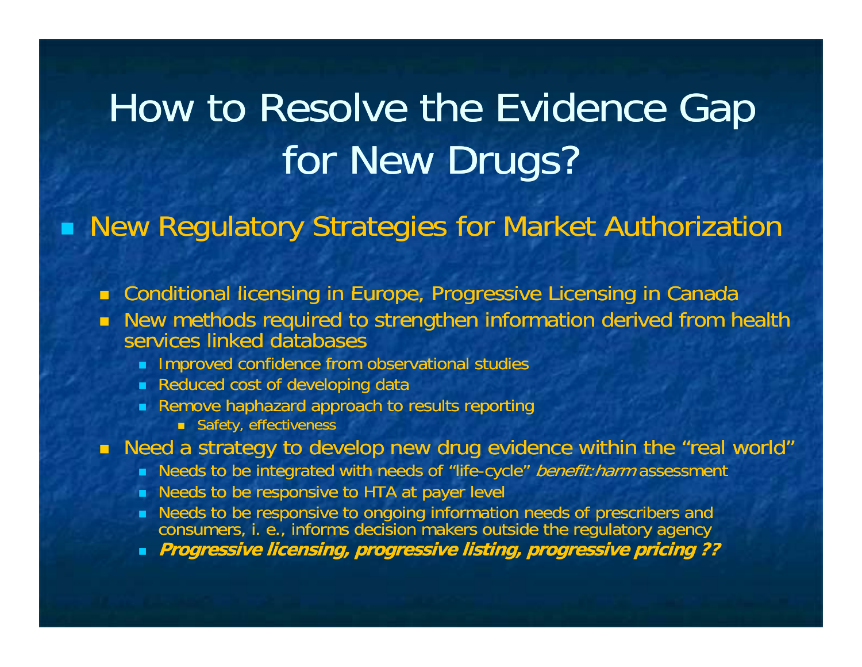## How to Resolve the Evidence Ga p for New Drugs?

**Reauding Strategies for Market Authorization** 

- $\blacksquare$  Conditional licensing in Europe, Progressive Licensing in Canada
- New methods required to strengthen information derived from health services linked databases
	- **Improved confidence from observational studies**
	- Reduced cost of developing data
	- Remove haphazard approach to results reporting
		- **Safety, effectiveness**
- $\blacksquare$  Need a strategy to develop new drug evidence within the "real world"
	- Needs to be integrated with needs of "life-cycle" *benefit:harm* assessment
	- Needs to be responsive to HTA at payer level
	- Needs to be responsive to ongoing information needs of prescribers and consumers, i. e., informs decision makers outside the regulatory agency
	- **Progressi li i i li i i i i ive licensing, progressive listing, progressive pricing ??**